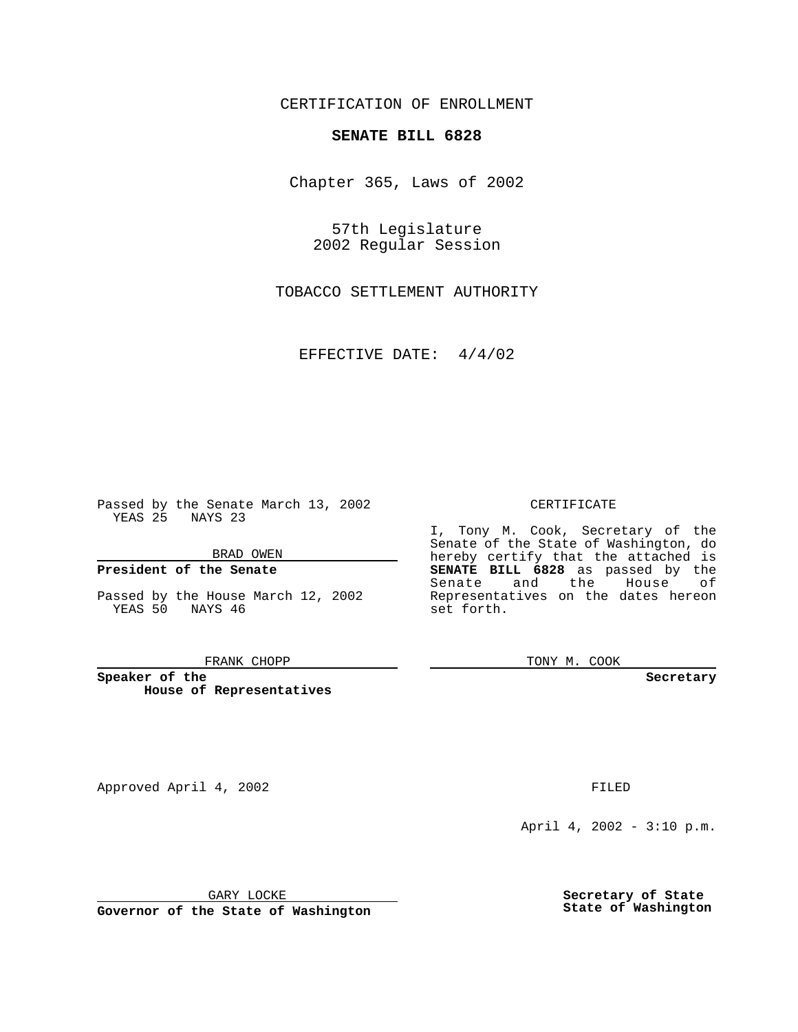CERTIFICATION OF ENROLLMENT

## **SENATE BILL 6828**

Chapter 365, Laws of 2002

57th Legislature 2002 Regular Session

TOBACCO SETTLEMENT AUTHORITY

EFFECTIVE DATE: 4/4/02

Approved April 4, 2002 **FILED** 

Passed by the Senate March 13, 2002 YEAS 25 NAYS 23

BRAD OWEN

## **President of the Senate**

Passed by the House March 12, 2002 YEAS 50 NAYS 46

#### FRANK CHOPP

**Speaker of the House of Representatives**

April 4, 2002 - 3:10 p.m.

GARY LOCKE

**Governor of the State of Washington**

**Secretary of State State of Washington**

CERTIFICATE

I, Tony M. Cook, Secretary of the Senate of the State of Washington, do hereby certify that the attached is **SENATE BILL 6828** as passed by the Senate and the House of Representatives on the dates hereon set forth.

TONY M. COOK

**Secretary**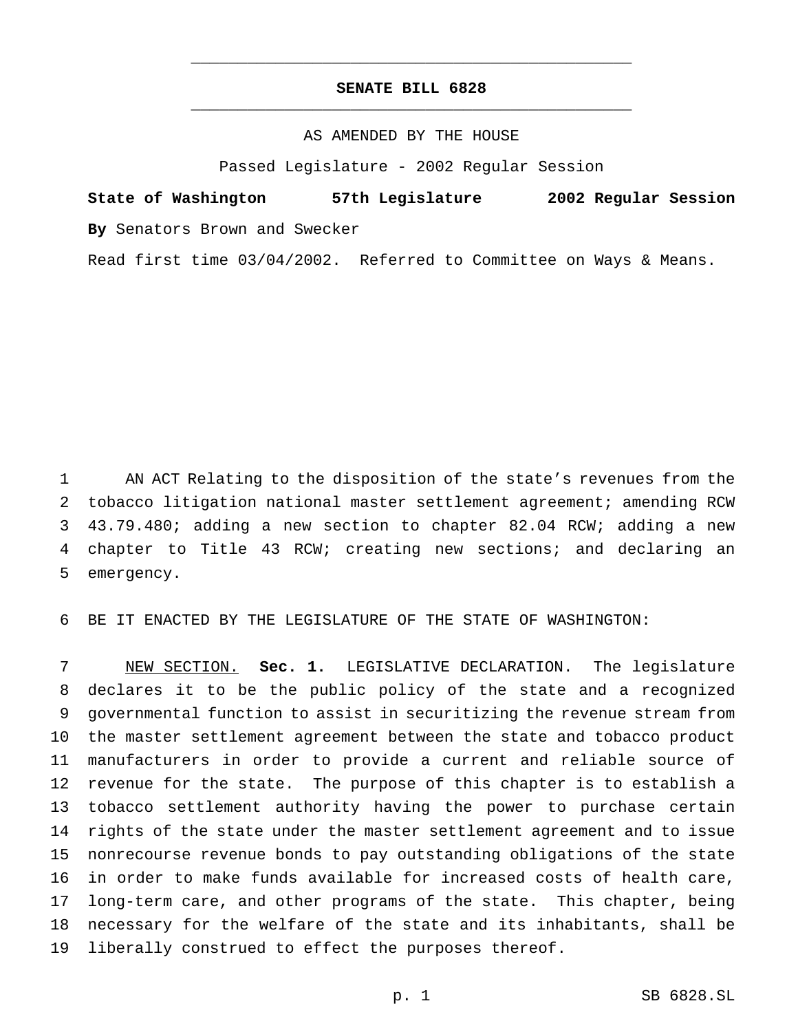# **SENATE BILL 6828** \_\_\_\_\_\_\_\_\_\_\_\_\_\_\_\_\_\_\_\_\_\_\_\_\_\_\_\_\_\_\_\_\_\_\_\_\_\_\_\_\_\_\_\_\_\_\_

\_\_\_\_\_\_\_\_\_\_\_\_\_\_\_\_\_\_\_\_\_\_\_\_\_\_\_\_\_\_\_\_\_\_\_\_\_\_\_\_\_\_\_\_\_\_\_

### AS AMENDED BY THE HOUSE

Passed Legislature - 2002 Regular Session

**State of Washington 57th Legislature 2002 Regular Session By** Senators Brown and Swecker

Read first time 03/04/2002. Referred to Committee on Ways & Means.

 AN ACT Relating to the disposition of the state's revenues from the tobacco litigation national master settlement agreement; amending RCW 43.79.480; adding a new section to chapter 82.04 RCW; adding a new chapter to Title 43 RCW; creating new sections; and declaring an emergency.

BE IT ENACTED BY THE LEGISLATURE OF THE STATE OF WASHINGTON:

 NEW SECTION. **Sec. 1.** LEGISLATIVE DECLARATION. The legislature declares it to be the public policy of the state and a recognized governmental function to assist in securitizing the revenue stream from the master settlement agreement between the state and tobacco product manufacturers in order to provide a current and reliable source of revenue for the state. The purpose of this chapter is to establish a tobacco settlement authority having the power to purchase certain rights of the state under the master settlement agreement and to issue nonrecourse revenue bonds to pay outstanding obligations of the state in order to make funds available for increased costs of health care, long-term care, and other programs of the state. This chapter, being necessary for the welfare of the state and its inhabitants, shall be liberally construed to effect the purposes thereof.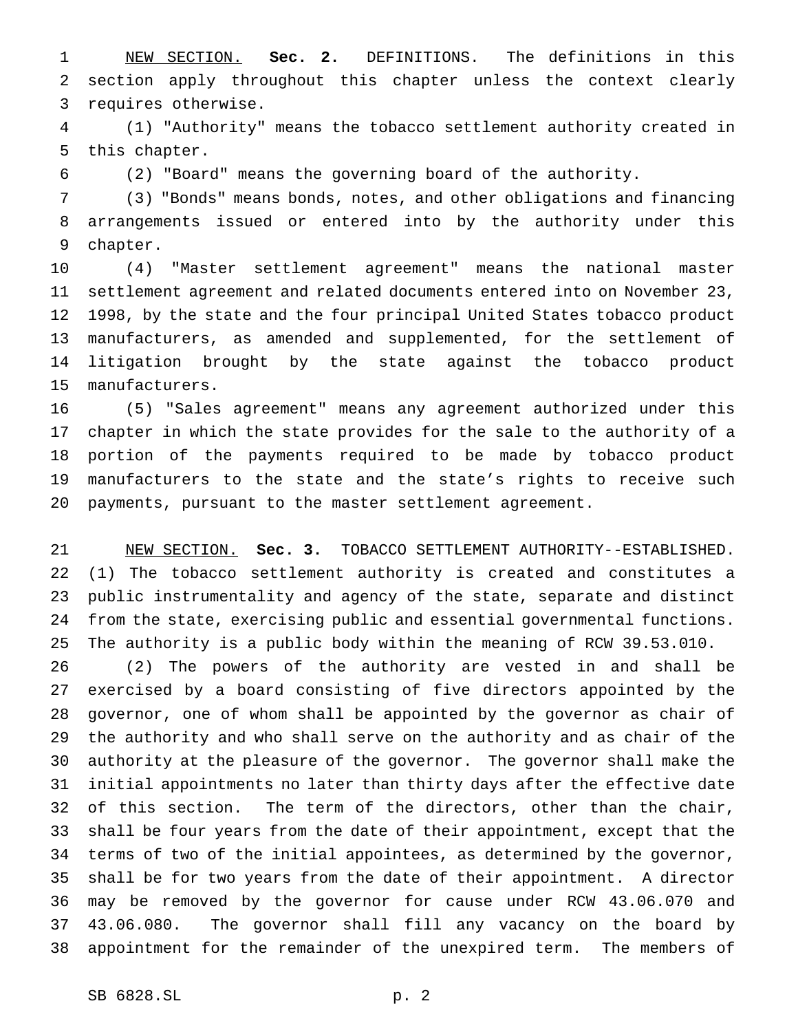NEW SECTION. **Sec. 2.** DEFINITIONS. The definitions in this section apply throughout this chapter unless the context clearly requires otherwise.

 (1) "Authority" means the tobacco settlement authority created in this chapter.

(2) "Board" means the governing board of the authority.

 (3) "Bonds" means bonds, notes, and other obligations and financing arrangements issued or entered into by the authority under this chapter.

 (4) "Master settlement agreement" means the national master settlement agreement and related documents entered into on November 23, 1998, by the state and the four principal United States tobacco product manufacturers, as amended and supplemented, for the settlement of litigation brought by the state against the tobacco product manufacturers.

 (5) "Sales agreement" means any agreement authorized under this chapter in which the state provides for the sale to the authority of a portion of the payments required to be made by tobacco product manufacturers to the state and the state's rights to receive such payments, pursuant to the master settlement agreement.

 NEW SECTION. **Sec. 3.** TOBACCO SETTLEMENT AUTHORITY--ESTABLISHED. (1) The tobacco settlement authority is created and constitutes a public instrumentality and agency of the state, separate and distinct from the state, exercising public and essential governmental functions. The authority is a public body within the meaning of RCW 39.53.010.

 (2) The powers of the authority are vested in and shall be exercised by a board consisting of five directors appointed by the governor, one of whom shall be appointed by the governor as chair of the authority and who shall serve on the authority and as chair of the authority at the pleasure of the governor. The governor shall make the initial appointments no later than thirty days after the effective date of this section. The term of the directors, other than the chair, shall be four years from the date of their appointment, except that the terms of two of the initial appointees, as determined by the governor, shall be for two years from the date of their appointment. A director may be removed by the governor for cause under RCW 43.06.070 and 43.06.080. The governor shall fill any vacancy on the board by appointment for the remainder of the unexpired term. The members of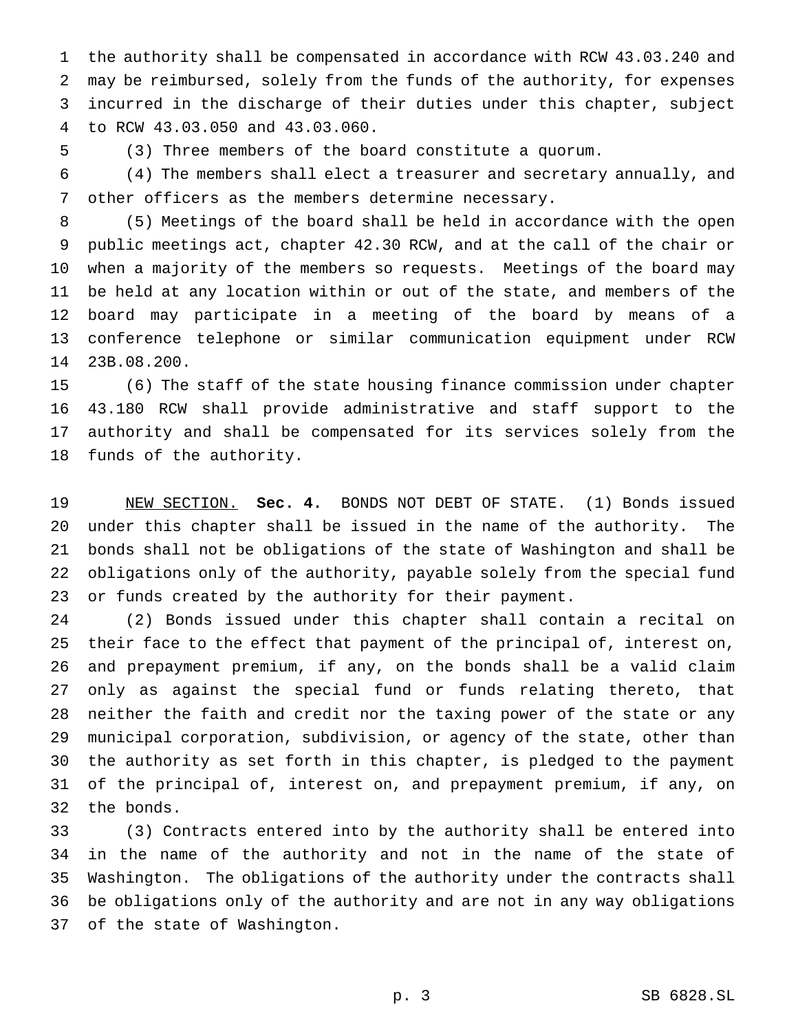the authority shall be compensated in accordance with RCW 43.03.240 and may be reimbursed, solely from the funds of the authority, for expenses incurred in the discharge of their duties under this chapter, subject to RCW 43.03.050 and 43.03.060.

(3) Three members of the board constitute a quorum.

 (4) The members shall elect a treasurer and secretary annually, and other officers as the members determine necessary.

 (5) Meetings of the board shall be held in accordance with the open public meetings act, chapter 42.30 RCW, and at the call of the chair or when a majority of the members so requests. Meetings of the board may be held at any location within or out of the state, and members of the board may participate in a meeting of the board by means of a conference telephone or similar communication equipment under RCW 23B.08.200.

 (6) The staff of the state housing finance commission under chapter 43.180 RCW shall provide administrative and staff support to the authority and shall be compensated for its services solely from the funds of the authority.

 NEW SECTION. **Sec. 4.** BONDS NOT DEBT OF STATE. (1) Bonds issued under this chapter shall be issued in the name of the authority. The bonds shall not be obligations of the state of Washington and shall be obligations only of the authority, payable solely from the special fund or funds created by the authority for their payment.

 (2) Bonds issued under this chapter shall contain a recital on their face to the effect that payment of the principal of, interest on, and prepayment premium, if any, on the bonds shall be a valid claim only as against the special fund or funds relating thereto, that neither the faith and credit nor the taxing power of the state or any municipal corporation, subdivision, or agency of the state, other than the authority as set forth in this chapter, is pledged to the payment of the principal of, interest on, and prepayment premium, if any, on the bonds.

 (3) Contracts entered into by the authority shall be entered into in the name of the authority and not in the name of the state of Washington. The obligations of the authority under the contracts shall be obligations only of the authority and are not in any way obligations of the state of Washington.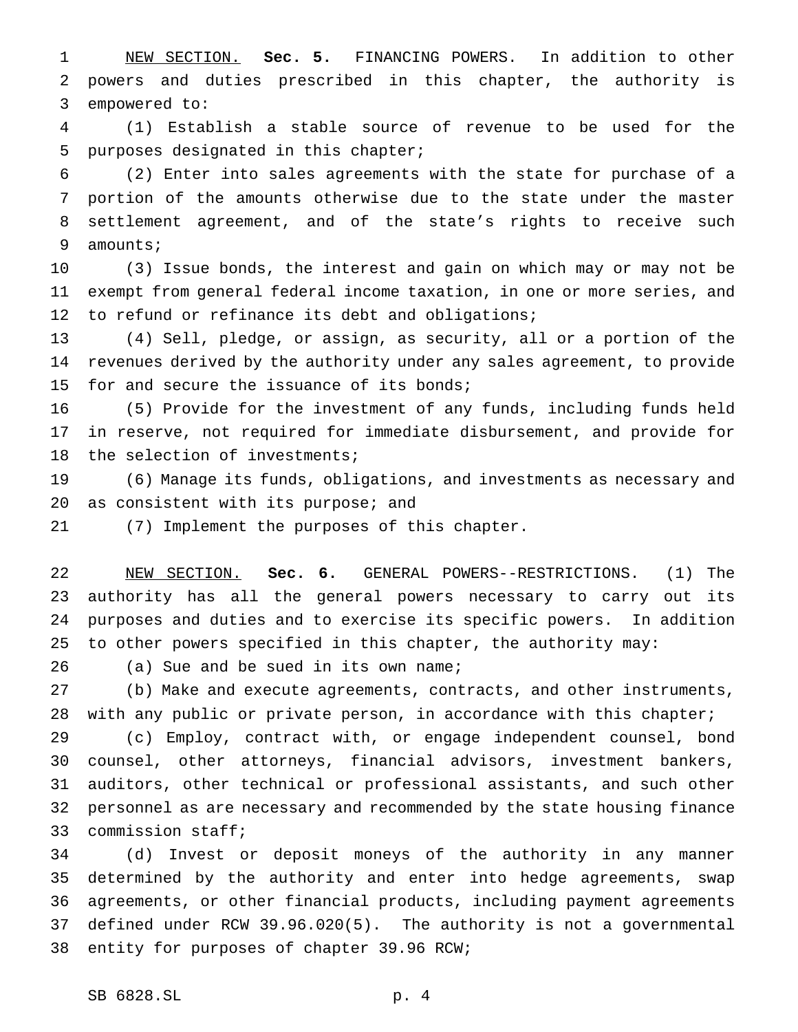NEW SECTION. **Sec. 5.** FINANCING POWERS. In addition to other powers and duties prescribed in this chapter, the authority is empowered to:

 (1) Establish a stable source of revenue to be used for the purposes designated in this chapter;

 (2) Enter into sales agreements with the state for purchase of a portion of the amounts otherwise due to the state under the master settlement agreement, and of the state's rights to receive such amounts;

 (3) Issue bonds, the interest and gain on which may or may not be exempt from general federal income taxation, in one or more series, and to refund or refinance its debt and obligations;

 (4) Sell, pledge, or assign, as security, all or a portion of the revenues derived by the authority under any sales agreement, to provide 15 for and secure the issuance of its bonds;

 (5) Provide for the investment of any funds, including funds held in reserve, not required for immediate disbursement, and provide for the selection of investments;

 (6) Manage its funds, obligations, and investments as necessary and 20 as consistent with its purpose; and

(7) Implement the purposes of this chapter.

 NEW SECTION. **Sec. 6.** GENERAL POWERS--RESTRICTIONS. (1) The authority has all the general powers necessary to carry out its purposes and duties and to exercise its specific powers. In addition to other powers specified in this chapter, the authority may:

(a) Sue and be sued in its own name;

 (b) Make and execute agreements, contracts, and other instruments, with any public or private person, in accordance with this chapter;

 (c) Employ, contract with, or engage independent counsel, bond counsel, other attorneys, financial advisors, investment bankers, auditors, other technical or professional assistants, and such other personnel as are necessary and recommended by the state housing finance commission staff;

 (d) Invest or deposit moneys of the authority in any manner determined by the authority and enter into hedge agreements, swap agreements, or other financial products, including payment agreements defined under RCW 39.96.020(5). The authority is not a governmental entity for purposes of chapter 39.96 RCW;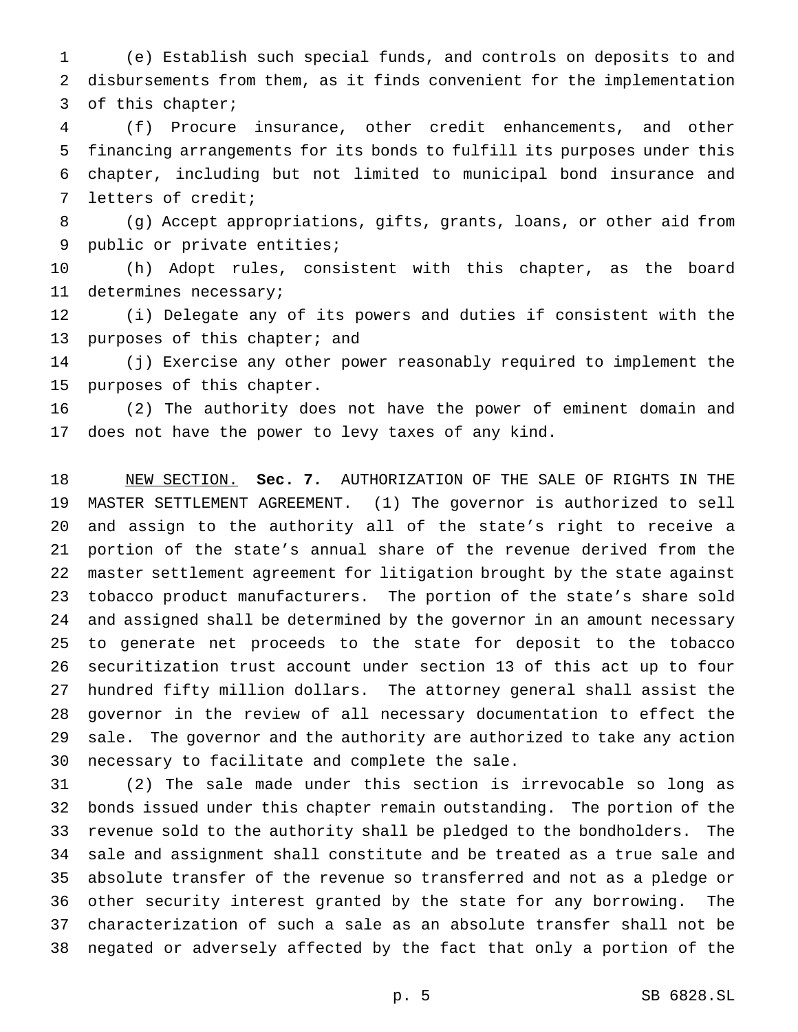(e) Establish such special funds, and controls on deposits to and disbursements from them, as it finds convenient for the implementation of this chapter;

 (f) Procure insurance, other credit enhancements, and other financing arrangements for its bonds to fulfill its purposes under this chapter, including but not limited to municipal bond insurance and letters of credit;

 (g) Accept appropriations, gifts, grants, loans, or other aid from public or private entities;

 (h) Adopt rules, consistent with this chapter, as the board determines necessary;

 (i) Delegate any of its powers and duties if consistent with the 13 purposes of this chapter; and

 (j) Exercise any other power reasonably required to implement the purposes of this chapter.

 (2) The authority does not have the power of eminent domain and does not have the power to levy taxes of any kind.

 NEW SECTION. **Sec. 7.** AUTHORIZATION OF THE SALE OF RIGHTS IN THE MASTER SETTLEMENT AGREEMENT. (1) The governor is authorized to sell and assign to the authority all of the state's right to receive a portion of the state's annual share of the revenue derived from the master settlement agreement for litigation brought by the state against tobacco product manufacturers. The portion of the state's share sold and assigned shall be determined by the governor in an amount necessary to generate net proceeds to the state for deposit to the tobacco securitization trust account under section 13 of this act up to four hundred fifty million dollars. The attorney general shall assist the governor in the review of all necessary documentation to effect the sale. The governor and the authority are authorized to take any action necessary to facilitate and complete the sale.

 (2) The sale made under this section is irrevocable so long as bonds issued under this chapter remain outstanding. The portion of the revenue sold to the authority shall be pledged to the bondholders. The sale and assignment shall constitute and be treated as a true sale and absolute transfer of the revenue so transferred and not as a pledge or other security interest granted by the state for any borrowing. The characterization of such a sale as an absolute transfer shall not be negated or adversely affected by the fact that only a portion of the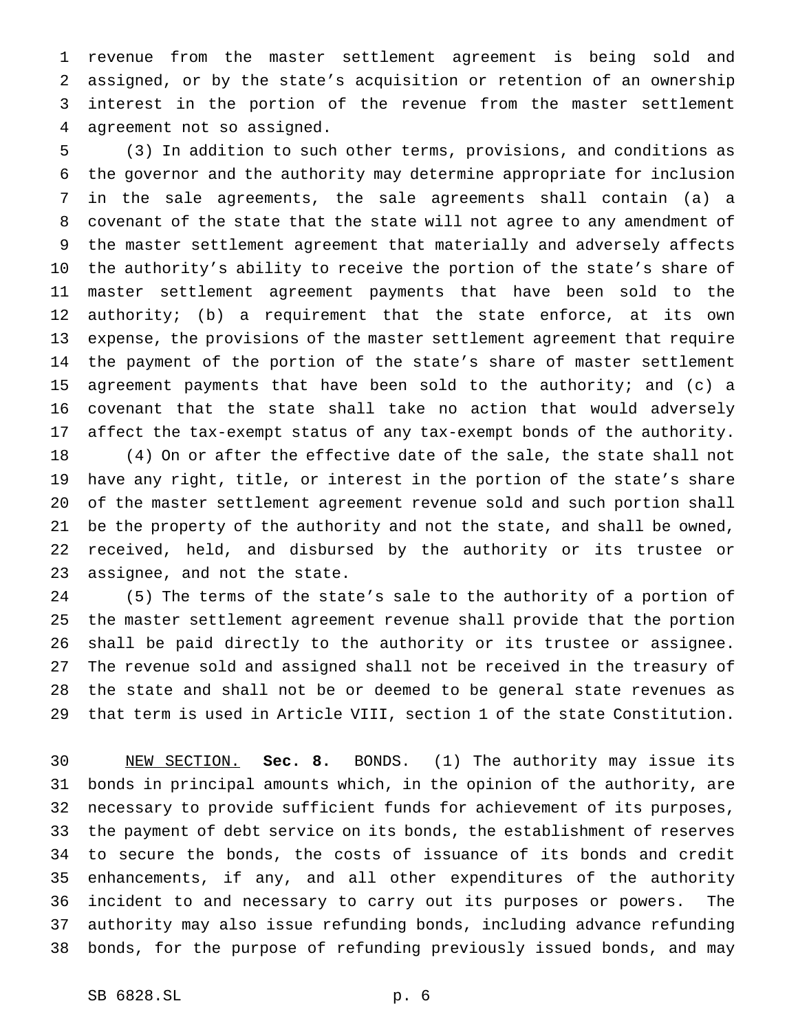revenue from the master settlement agreement is being sold and assigned, or by the state's acquisition or retention of an ownership interest in the portion of the revenue from the master settlement agreement not so assigned.

 (3) In addition to such other terms, provisions, and conditions as the governor and the authority may determine appropriate for inclusion in the sale agreements, the sale agreements shall contain (a) a covenant of the state that the state will not agree to any amendment of the master settlement agreement that materially and adversely affects the authority's ability to receive the portion of the state's share of master settlement agreement payments that have been sold to the 12 authority; (b) a requirement that the state enforce, at its own expense, the provisions of the master settlement agreement that require the payment of the portion of the state's share of master settlement agreement payments that have been sold to the authority; and (c) a covenant that the state shall take no action that would adversely affect the tax-exempt status of any tax-exempt bonds of the authority. (4) On or after the effective date of the sale, the state shall not have any right, title, or interest in the portion of the state's share of the master settlement agreement revenue sold and such portion shall be the property of the authority and not the state, and shall be owned, received, held, and disbursed by the authority or its trustee or

assignee, and not the state.

 (5) The terms of the state's sale to the authority of a portion of the master settlement agreement revenue shall provide that the portion shall be paid directly to the authority or its trustee or assignee. The revenue sold and assigned shall not be received in the treasury of the state and shall not be or deemed to be general state revenues as that term is used in Article VIII, section 1 of the state Constitution.

 NEW SECTION. **Sec. 8.** BONDS. (1) The authority may issue its bonds in principal amounts which, in the opinion of the authority, are necessary to provide sufficient funds for achievement of its purposes, the payment of debt service on its bonds, the establishment of reserves to secure the bonds, the costs of issuance of its bonds and credit enhancements, if any, and all other expenditures of the authority incident to and necessary to carry out its purposes or powers. The authority may also issue refunding bonds, including advance refunding bonds, for the purpose of refunding previously issued bonds, and may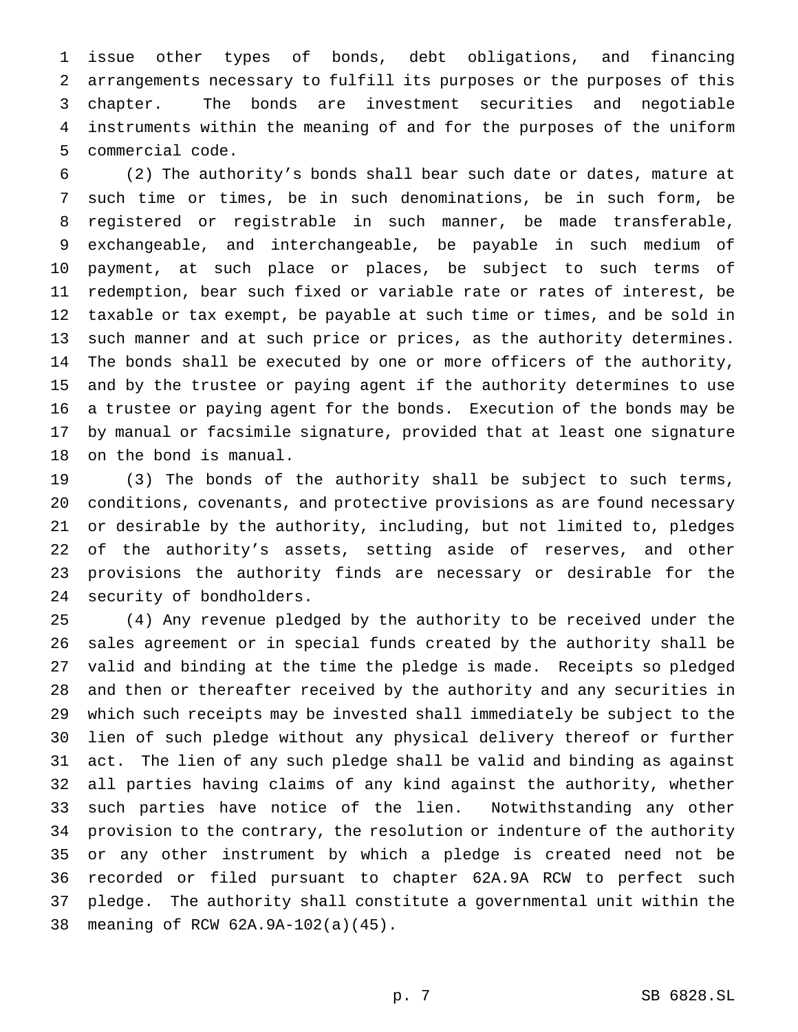issue other types of bonds, debt obligations, and financing arrangements necessary to fulfill its purposes or the purposes of this chapter. The bonds are investment securities and negotiable instruments within the meaning of and for the purposes of the uniform commercial code.

 (2) The authority's bonds shall bear such date or dates, mature at such time or times, be in such denominations, be in such form, be registered or registrable in such manner, be made transferable, exchangeable, and interchangeable, be payable in such medium of payment, at such place or places, be subject to such terms of redemption, bear such fixed or variable rate or rates of interest, be taxable or tax exempt, be payable at such time or times, and be sold in such manner and at such price or prices, as the authority determines. The bonds shall be executed by one or more officers of the authority, and by the trustee or paying agent if the authority determines to use a trustee or paying agent for the bonds. Execution of the bonds may be by manual or facsimile signature, provided that at least one signature on the bond is manual.

 (3) The bonds of the authority shall be subject to such terms, conditions, covenants, and protective provisions as are found necessary or desirable by the authority, including, but not limited to, pledges of the authority's assets, setting aside of reserves, and other provisions the authority finds are necessary or desirable for the security of bondholders.

 (4) Any revenue pledged by the authority to be received under the sales agreement or in special funds created by the authority shall be valid and binding at the time the pledge is made. Receipts so pledged and then or thereafter received by the authority and any securities in which such receipts may be invested shall immediately be subject to the lien of such pledge without any physical delivery thereof or further act. The lien of any such pledge shall be valid and binding as against all parties having claims of any kind against the authority, whether such parties have notice of the lien. Notwithstanding any other provision to the contrary, the resolution or indenture of the authority or any other instrument by which a pledge is created need not be recorded or filed pursuant to chapter 62A.9A RCW to perfect such pledge. The authority shall constitute a governmental unit within the meaning of RCW 62A.9A-102(a)(45).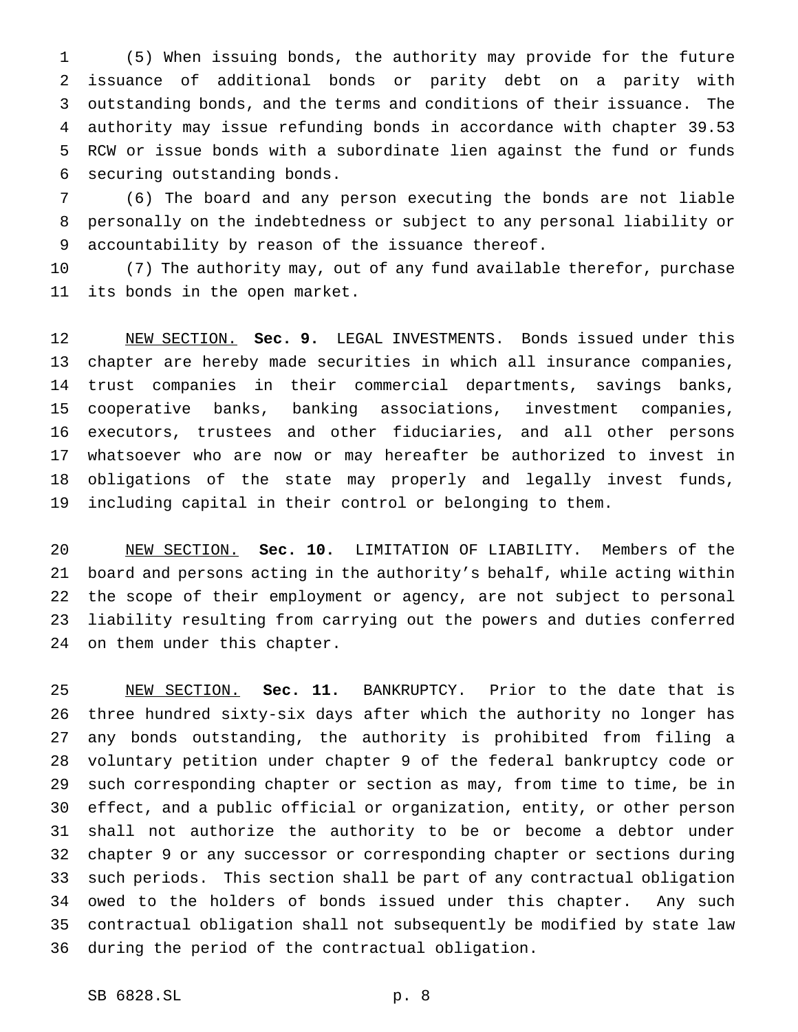(5) When issuing bonds, the authority may provide for the future issuance of additional bonds or parity debt on a parity with outstanding bonds, and the terms and conditions of their issuance. The authority may issue refunding bonds in accordance with chapter 39.53 RCW or issue bonds with a subordinate lien against the fund or funds securing outstanding bonds.

 (6) The board and any person executing the bonds are not liable personally on the indebtedness or subject to any personal liability or accountability by reason of the issuance thereof.

 (7) The authority may, out of any fund available therefor, purchase its bonds in the open market.

 NEW SECTION. **Sec. 9.** LEGAL INVESTMENTS. Bonds issued under this chapter are hereby made securities in which all insurance companies, trust companies in their commercial departments, savings banks, cooperative banks, banking associations, investment companies, executors, trustees and other fiduciaries, and all other persons whatsoever who are now or may hereafter be authorized to invest in obligations of the state may properly and legally invest funds, including capital in their control or belonging to them.

 NEW SECTION. **Sec. 10.** LIMITATION OF LIABILITY. Members of the board and persons acting in the authority's behalf, while acting within the scope of their employment or agency, are not subject to personal liability resulting from carrying out the powers and duties conferred on them under this chapter.

 NEW SECTION. **Sec. 11.** BANKRUPTCY. Prior to the date that is three hundred sixty-six days after which the authority no longer has any bonds outstanding, the authority is prohibited from filing a voluntary petition under chapter 9 of the federal bankruptcy code or such corresponding chapter or section as may, from time to time, be in effect, and a public official or organization, entity, or other person shall not authorize the authority to be or become a debtor under chapter 9 or any successor or corresponding chapter or sections during such periods. This section shall be part of any contractual obligation owed to the holders of bonds issued under this chapter. Any such contractual obligation shall not subsequently be modified by state law during the period of the contractual obligation.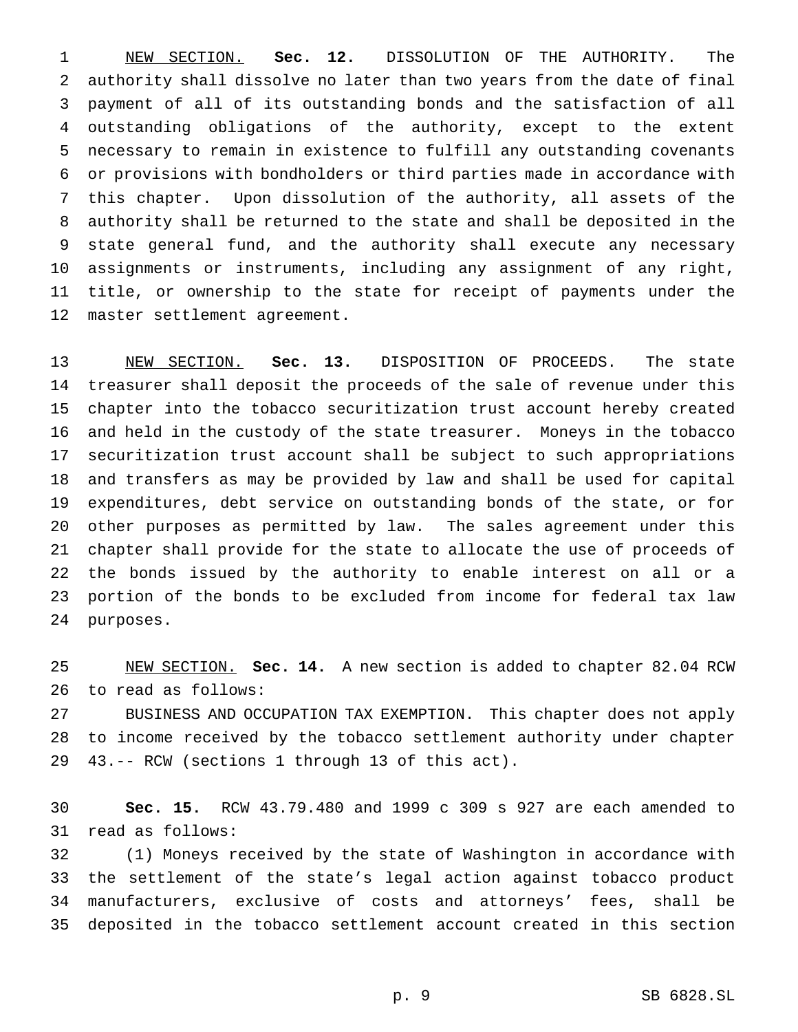NEW SECTION. **Sec. 12.** DISSOLUTION OF THE AUTHORITY. The authority shall dissolve no later than two years from the date of final payment of all of its outstanding bonds and the satisfaction of all outstanding obligations of the authority, except to the extent necessary to remain in existence to fulfill any outstanding covenants or provisions with bondholders or third parties made in accordance with this chapter. Upon dissolution of the authority, all assets of the authority shall be returned to the state and shall be deposited in the state general fund, and the authority shall execute any necessary assignments or instruments, including any assignment of any right, title, or ownership to the state for receipt of payments under the master settlement agreement.

 NEW SECTION. **Sec. 13.** DISPOSITION OF PROCEEDS. The state treasurer shall deposit the proceeds of the sale of revenue under this chapter into the tobacco securitization trust account hereby created and held in the custody of the state treasurer. Moneys in the tobacco securitization trust account shall be subject to such appropriations and transfers as may be provided by law and shall be used for capital expenditures, debt service on outstanding bonds of the state, or for other purposes as permitted by law. The sales agreement under this chapter shall provide for the state to allocate the use of proceeds of the bonds issued by the authority to enable interest on all or a portion of the bonds to be excluded from income for federal tax law purposes.

 NEW SECTION. **Sec. 14.** A new section is added to chapter 82.04 RCW to read as follows:

 BUSINESS AND OCCUPATION TAX EXEMPTION. This chapter does not apply to income received by the tobacco settlement authority under chapter 43.-- RCW (sections 1 through 13 of this act).

 **Sec. 15.** RCW 43.79.480 and 1999 c 309 s 927 are each amended to read as follows:

 (1) Moneys received by the state of Washington in accordance with the settlement of the state's legal action against tobacco product manufacturers, exclusive of costs and attorneys' fees, shall be deposited in the tobacco settlement account created in this section